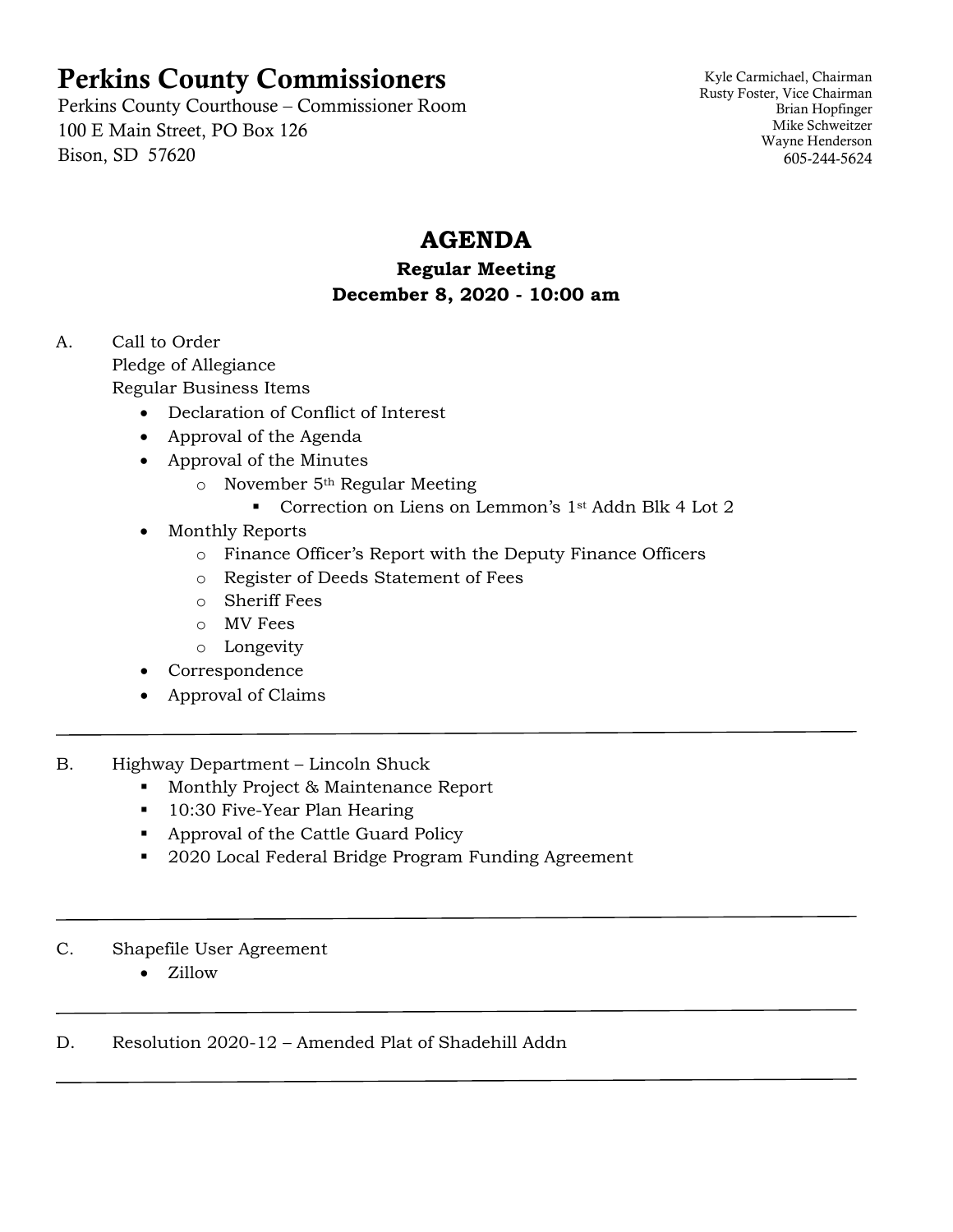# Perkins County Commissioners

Perkins County Courthouse – Commissioner Room 100 E Main Street, PO Box 126 Bison, SD 57620

Kyle Carmichael, Chairman Rusty Foster, Vice Chairman Brian Hopfinger Mike Schweitzer Wayne Henderson 605-244-5624

## **AGENDA**

#### **Regular Meeting December 8, 2020 - 10:00 am**

A. Call to Order Pledge of Allegiance Regular Business Items

- Declaration of Conflict of Interest
- Approval of the Agenda
- Approval of the Minutes
	- o November 5th Regular Meeting
		- Correction on Liens on Lemmon's 1st Addn Blk 4 Lot 2
- Monthly Reports
	- o Finance Officer's Report with the Deputy Finance Officers
	- o Register of Deeds Statement of Fees
	- o Sheriff Fees
	- o MV Fees
	- o Longevity
- Correspondence
- Approval of Claims
- B. Highway Department Lincoln Shuck
	- **Monthly Project & Maintenance Report**
	- **10:30 Five-Year Plan Hearing**
	- Approval of the Cattle Guard Policy
	- 2020 Local Federal Bridge Program Funding Agreement

#### C. Shapefile User Agreement

• Zillow

#### D. Resolution 2020-12 – Amended Plat of Shadehill Addn